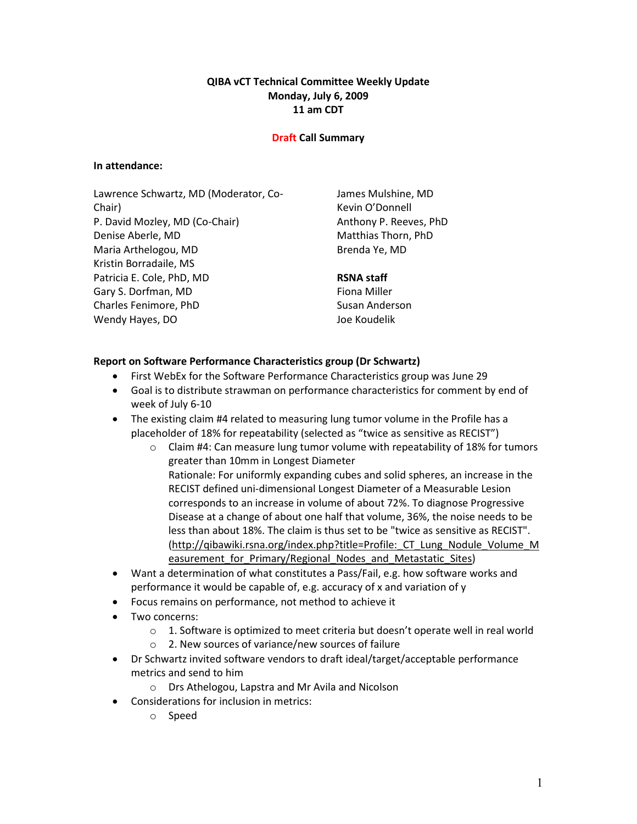## QIBA vCT Technical Committee Weekly Update Monday, July 6, 2009 11 am CDT

#### Draft Call Summary

#### In attendance:

Lawrence Schwartz, MD (Moderator, Co-Chair) P. David Mozley, MD (Co-Chair) Denise Aberle, MD Maria Arthelogou, MD Kristin Borradaile, MS Patricia E. Cole, PhD, MD Gary S. Dorfman, MD Charles Fenimore, PhD Wendy Hayes, DO

James Mulshine, MD Kevin O'Donnell Anthony P. Reeves, PhD Matthias Thorn, PhD Brenda Ye, MD

# RSNA staff

Fiona Miller Susan Anderson Joe Koudelik

#### Report on Software Performance Characteristics group (Dr Schwartz)

- First WebEx for the Software Performance Characteristics group was June 29
- Goal is to distribute strawman on performance characteristics for comment by end of week of July 6-10
- The existing claim #4 related to measuring lung tumor volume in the Profile has a placeholder of 18% for repeatability (selected as "twice as sensitive as RECIST")
	- $\circ$  Claim #4: Can measure lung tumor volume with repeatability of 18% for tumors greater than 10mm in Longest Diameter Rationale: For uniformly expanding cubes and solid spheres, an increase in the RECIST defined uni-dimensional Longest Diameter of a Measurable Lesion corresponds to an increase in volume of about 72%. To diagnose Progressive Disease at a change of about one half that volume, 36%, the noise needs to be less than about 18%. The claim is thus set to be "twice as sensitive as RECIST". (http://qibawiki.rsna.org/index.php?title=Profile:\_CT\_Lung\_Nodule\_Volume\_M easurement for Primary/Regional Nodes and Metastatic Sites)
- Want a determination of what constitutes a Pass/Fail, e.g. how software works and performance it would be capable of, e.g. accuracy of x and variation of y
- Focus remains on performance, not method to achieve it
- Two concerns:
	- $\circ$  1. Software is optimized to meet criteria but doesn't operate well in real world
	- o 2. New sources of variance/new sources of failure
- Dr Schwartz invited software vendors to draft ideal/target/acceptable performance metrics and send to him
	- o Drs Athelogou, Lapstra and Mr Avila and Nicolson
- Considerations for inclusion in metrics:
	- o Speed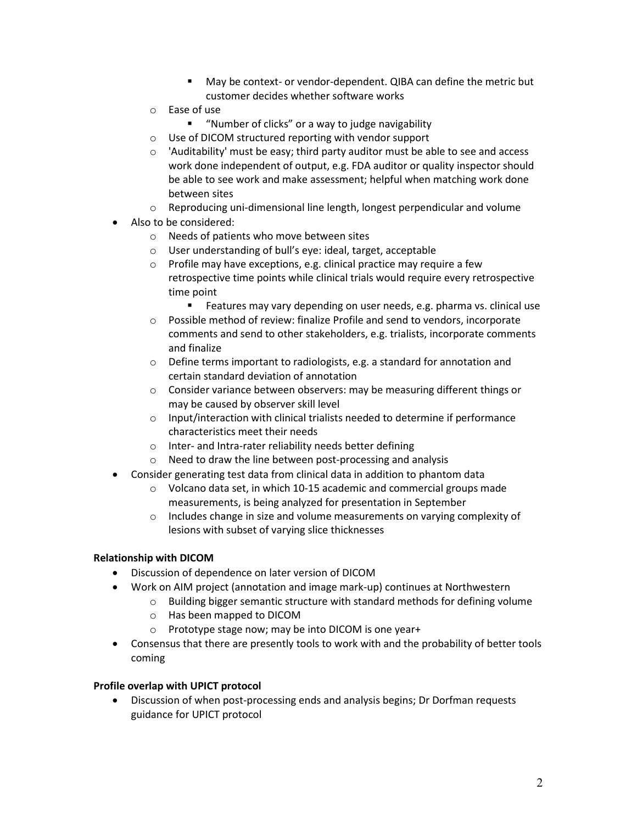- May be context- or vendor-dependent. QIBA can define the metric but customer decides whether software works
- o Ease of use
	- "Number of clicks" or a way to judge navigability
- o Use of DICOM structured reporting with vendor support
- o 'Auditability' must be easy; third party auditor must be able to see and access work done independent of output, e.g. FDA auditor or quality inspector should be able to see work and make assessment; helpful when matching work done between sites
- $\circ$  Reproducing uni-dimensional line length, longest perpendicular and volume
- Also to be considered:
	- o Needs of patients who move between sites
	- o User understanding of bull's eye: ideal, target, acceptable
	- o Profile may have exceptions, e.g. clinical practice may require a few retrospective time points while clinical trials would require every retrospective time point
		- **Features may vary depending on user needs, e.g. pharma vs. clinical use**
	- o Possible method of review: finalize Profile and send to vendors, incorporate comments and send to other stakeholders, e.g. trialists, incorporate comments and finalize
	- o Define terms important to radiologists, e.g. a standard for annotation and certain standard deviation of annotation
	- o Consider variance between observers: may be measuring different things or may be caused by observer skill level
	- o Input/interaction with clinical trialists needed to determine if performance characteristics meet their needs
	- o Inter- and Intra-rater reliability needs better defining
	- o Need to draw the line between post-processing and analysis
- Consider generating test data from clinical data in addition to phantom data
	- $\circ$  Volcano data set, in which 10-15 academic and commercial groups made measurements, is being analyzed for presentation in September
	- o Includes change in size and volume measurements on varying complexity of lesions with subset of varying slice thicknesses

## Relationship with DICOM

- Discussion of dependence on later version of DICOM
- Work on AIM project (annotation and image mark-up) continues at Northwestern
	- o Building bigger semantic structure with standard methods for defining volume
	- o Has been mapped to DICOM
	- o Prototype stage now; may be into DICOM is one year+
- Consensus that there are presently tools to work with and the probability of better tools coming

## Profile overlap with UPICT protocol

• Discussion of when post-processing ends and analysis begins; Dr Dorfman requests guidance for UPICT protocol